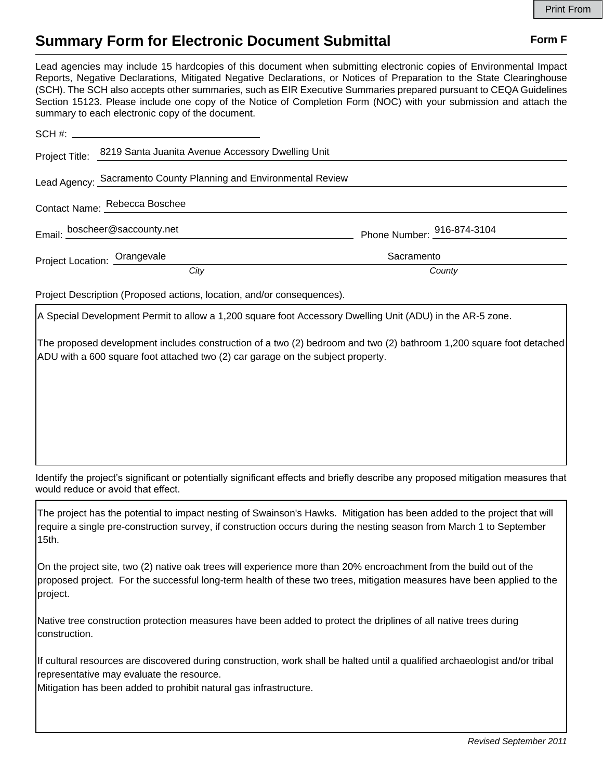## **Summary Form for Electronic Document Submittal Form F Form F**

Lead agencies may include 15 hardcopies of this document when submitting electronic copies of Environmental Impact Reports, Negative Declarations, Mitigated Negative Declarations, or Notices of Preparation to the State Clearinghouse (SCH). The SCH also accepts other summaries, such as EIR Executive Summaries prepared pursuant to CEQA Guidelines Section 15123. Please include one copy of the Notice of Completion Form (NOC) with your submission and attach the summary to each electronic copy of the document.

|                               | Project Title: 8219 Santa Juanita Avenue Accessory Dwelling Unit |                            |
|-------------------------------|------------------------------------------------------------------|----------------------------|
|                               | Lead Agency: Sacramento County Planning and Environmental Review |                            |
| Contact Name: Rebecca Boschee |                                                                  |                            |
|                               | Email: boscheer@saccounty.net                                    | Phone Number: 916-874-3104 |
| Project Location: Orangevale  |                                                                  | Sacramento                 |
|                               | City                                                             | County                     |

Project Description (Proposed actions, location, and/or consequences).

A Special Development Permit to allow a 1,200 square foot Accessory Dwelling Unit (ADU) in the AR-5 zone.

The proposed development includes construction of a two (2) bedroom and two (2) bathroom 1,200 square foot detached ADU with a 600 square foot attached two (2) car garage on the subject property.

Identify the project's significant or potentially significant effects and briefly describe any proposed mitigation measures that would reduce or avoid that effect.

The project has the potential to impact nesting of Swainson's Hawks. Mitigation has been added to the project that will require a single pre-construction survey, if construction occurs during the nesting season from March 1 to September 15th.

On the project site, two (2) native oak trees will experience more than 20% encroachment from the build out of the proposed project. For the successful long-term health of these two trees, mitigation measures have been applied to the project.

Native tree construction protection measures have been added to protect the driplines of all native trees during construction.

If cultural resources are discovered during construction, work shall be halted until a qualified archaeologist and/or tribal representative may evaluate the resource.

Mitigation has been added to prohibit natural gas infrastructure.